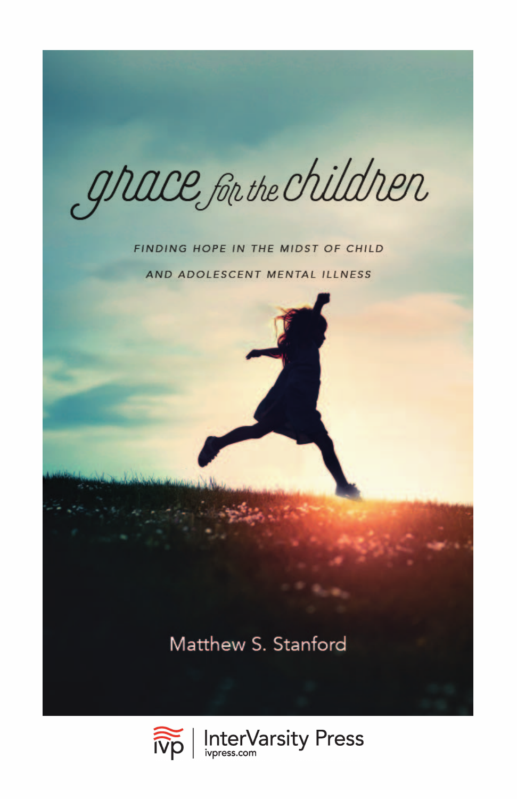grace for the children

#### FINDING HOPE IN THE MIDST OF CHILD

AND ADOLESCENT MENTAL ILLNESS

Matthew S. Stanford

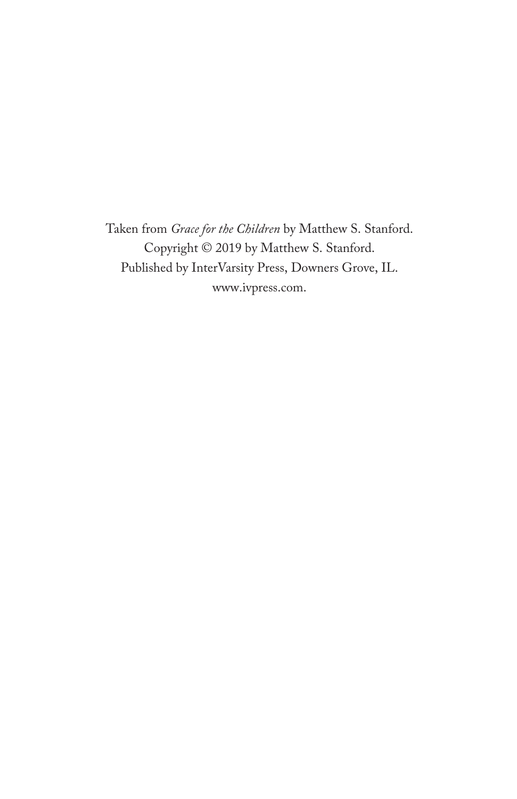Taken from *Grace for the Children* by Matthew S. Stanford. Copyright © 2019 by Matthew S. Stanford. Published by InterVarsity Press, Downers Grove, IL. [www.ivpress.com](https://www.ivpress.com).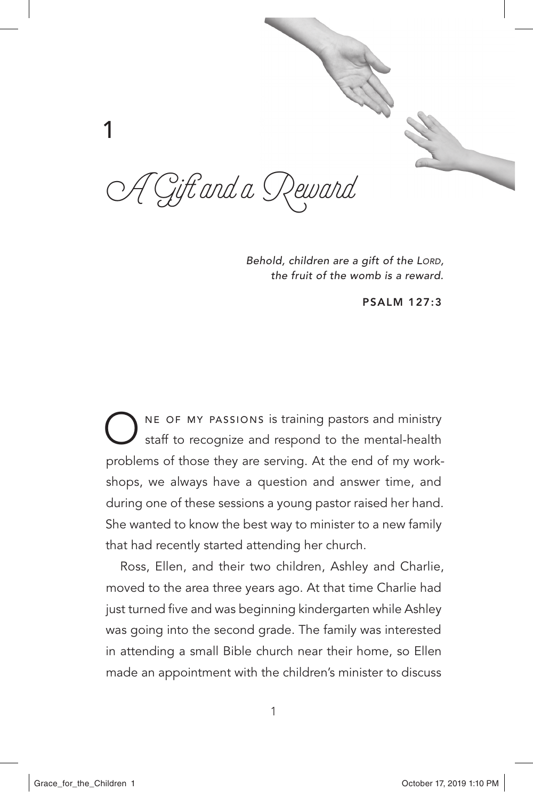

*Behold, children are a gift of the Lord, the fruit of the womb is a reward.*

PSALM 127:3

NE OF MY PASSIONS is training pastors and ministry staff to recognize and respond to the mental-health problems of those they are serving. At the end of my workshops, we always have a question and answer time, and during one of these sessions a young pastor raised her hand. She wanted to know the best way to minister to a new family that had recently started attending her church.

Ross, Ellen, and their two children, Ashley and Charlie, moved to the area three years ago. At that time Charlie had just turned five and was beginning kindergarten while Ashley was going into the second grade. The family was interested in attending a small Bible church near their home, so Ellen made an appointment with the children's minister to discuss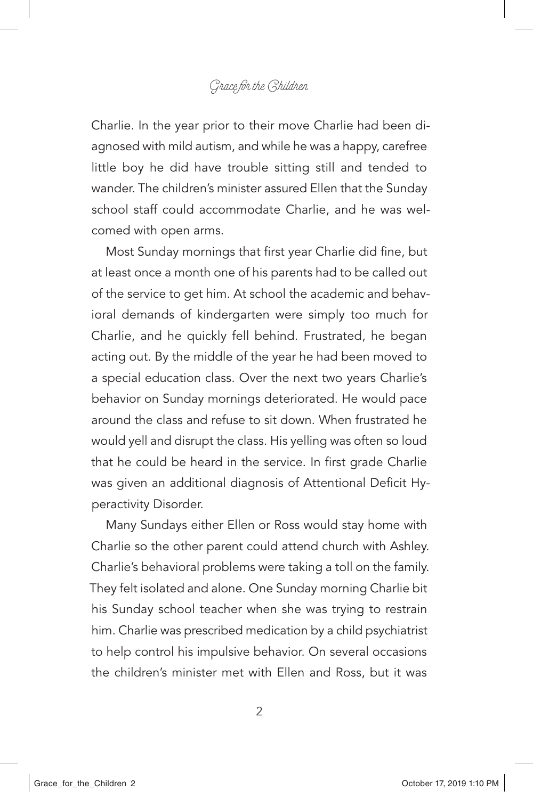Charlie. In the year prior to their move Charlie had been diagnosed with mild autism, and while he was a happy, carefree little boy he did have trouble sitting still and tended to wander. The children's minister assured Ellen that the Sunday school staff could accommodate Charlie, and he was welcomed with open arms.

Most Sunday mornings that first year Charlie did fine, but at least once a month one of his parents had to be called out of the service to get him. At school the academic and behavioral demands of kindergarten were simply too much for Charlie, and he quickly fell behind. Frustrated, he began acting out. By the middle of the year he had been moved to a special education class. Over the next two years Charlie's behavior on Sunday mornings deteriorated. He would pace around the class and refuse to sit down. When frustrated he would yell and disrupt the class. His yelling was often so loud that he could be heard in the service. In first grade Charlie was given an additional diagnosis of Attentional Deficit Hyperactivity Disorder.

Many Sundays either Ellen or Ross would stay home with Charlie so the other parent could attend church with Ashley. Charlie's behavioral problems were taking a toll on the family. They felt isolated and alone. One Sunday morning Charlie bit his Sunday school teacher when she was trying to restrain him. Charlie was prescribed medication by a child psychiatrist to help control his impulsive behavior. On several occasions the children's minister met with Ellen and Ross, but it was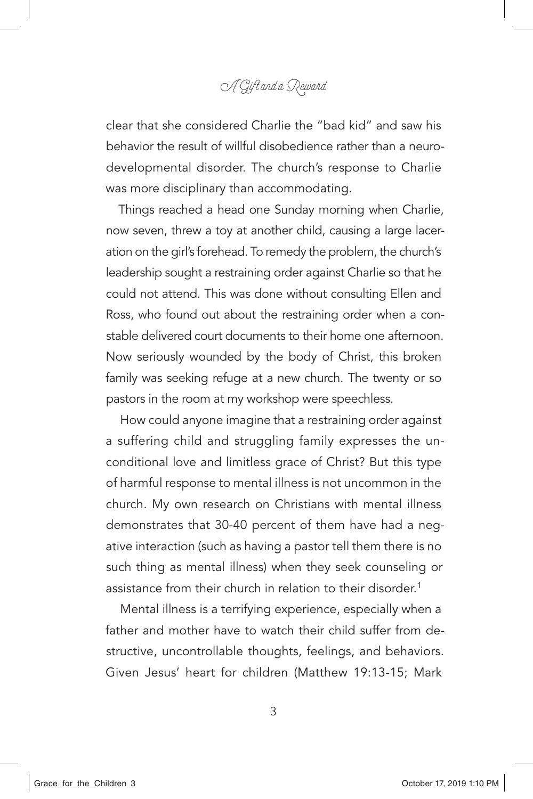clear that she considered Charlie the "bad kid" and saw his behavior the result of willful disobedience rather than a neurodevelopmental disorder. The church's response to Charlie was more disciplinary than accommodating.

Things reached a head one Sunday morning when Charlie, now seven, threw a toy at another child, causing a large laceration on the girl's forehead. To remedy the problem, the church's leadership sought a restraining order against Charlie so that he could not attend. This was done without consulting Ellen and Ross, who found out about the restraining order when a constable delivered court documents to their home one afternoon. Now seriously wounded by the body of Christ, this broken family was seeking refuge at a new church. The twenty or so pastors in the room at my workshop were speechless.

How could anyone imagine that a restraining order against a suffering child and struggling family expresses the unconditional love and limitless grace of Christ? But this type of harmful response to mental illness is not uncommon in the church. My own research on Christians with mental illness demonstrates that 30-40 percent of them have had a negative interaction (such as having a pastor tell them there is no such thing as mental illness) when they seek counseling or assistance from their church in relation to their disorder.<sup>1</sup>

Mental illness is a terrifying experience, especially when a father and mother have to watch their child suffer from destructive, uncontrollable thoughts, feelings, and behaviors. Given Jesus' heart for children (Matthew 19:13-15; Mark

3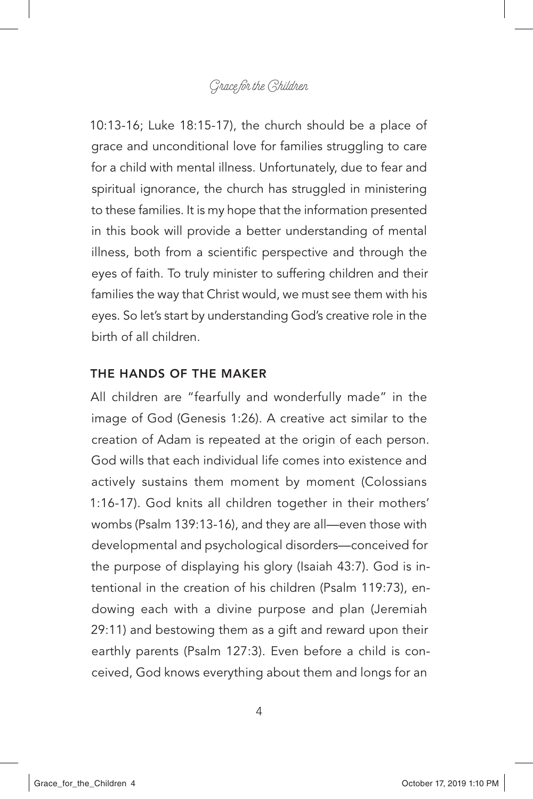10:13-16; Luke 18:15-17), the church should be a place of grace and unconditional love for families struggling to care for a child with mental illness. Unfortunately, due to fear and spiritual ignorance, the church has struggled in ministering to these families. It is my hope that the information presented in this book will provide a better understanding of mental illness, both from a scientific perspective and through the eyes of faith. To truly minister to suffering children and their families the way that Christ would, we must see them with his eyes. So let's start by understanding God's creative role in the birth of all children.

#### THE HANDS OF THE MAKER

All children are "fearfully and wonderfully made" in the image of God (Genesis 1:26). A creative act similar to the creation of Adam is repeated at the origin of each person. God wills that each individual life comes into existence and actively sustains them moment by moment (Colossians 1:16-17). God knits all children together in their mothers' wombs (Psalm 139:13-16), and they are all—even those with developmental and psychological disorders—conceived for the purpose of displaying his glory (Isaiah 43:7). God is intentional in the creation of his children (Psalm 119:73), endowing each with a divine purpose and plan (Jeremiah 29:11) and bestowing them as a gift and reward upon their earthly parents (Psalm 127:3). Even before a child is conceived, God knows everything about them and longs for an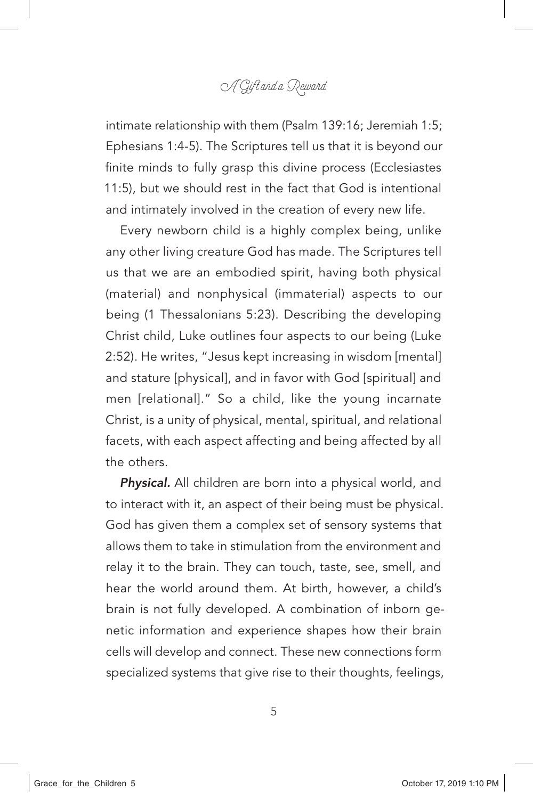intimate relationship with them (Psalm 139:16; Jeremiah 1:5; Ephesians 1:4-5). The Scriptures tell us that it is beyond our finite minds to fully grasp this divine process (Ecclesiastes 11:5), but we should rest in the fact that God is intentional and intimately involved in the creation of every new life.

Every newborn child is a highly complex being, unlike any other living creature God has made. The Scriptures tell us that we are an embodied spirit, having both physical (material) and nonphysical (immaterial) aspects to our being (1 Thessalonians 5:23). Describing the developing Christ child, Luke outlines four aspects to our being (Luke 2:52). He writes, "Jesus kept increasing in wisdom [mental] and stature [physical], and in favor with God [spiritual] and men [relational]." So a child, like the young incarnate Christ, is a unity of physical, mental, spiritual, and relational facets, with each aspect affecting and being affected by all the others.

*Physical.* All children are born into a physical world, and to interact with it, an aspect of their being must be physical. God has given them a complex set of sensory systems that allows them to take in stimulation from the environment and relay it to the brain. They can touch, taste, see, smell, and hear the world around them. At birth, however, a child's brain is not fully developed. A combination of inborn genetic information and experience shapes how their brain cells will develop and connect. These new connections form specialized systems that give rise to their thoughts, feelings,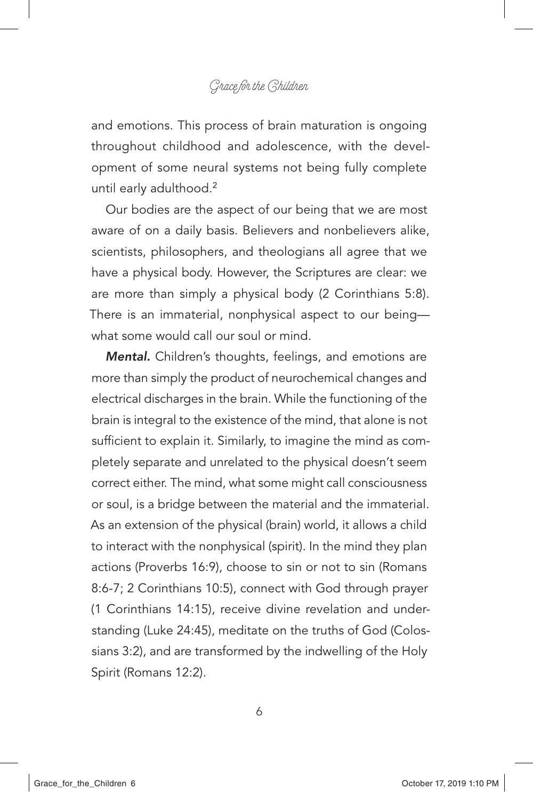and emotions. This process of brain maturation is ongoing throughout childhood and adolescence, with the development of some neural systems not being fully complete until early adulthood.<sup>2</sup>

Our bodies are the aspect of our being that we are most aware of on a daily basis. Believers and nonbelievers alike, scientists, philosophers, and theologians all agree that we have a physical body. However, the Scriptures are clear: we are more than simply a physical body (2 Corinthians 5:8). There is an immaterial, nonphysical aspect to our being what some would call our soul or mind.

*Mental.* Children's thoughts, feelings, and emotions are more than simply the product of neurochemical changes and electrical discharges in the brain. While the functioning of the brain is integral to the existence of the mind, that alone is not sufficient to explain it. Similarly, to imagine the mind as completely separate and unrelated to the physical doesn't seem correct either. The mind, what some might call consciousness or soul, is a bridge between the material and the immaterial. As an extension of the physical (brain) world, it allows a child to interact with the nonphysical (spirit). In the mind they plan actions (Proverbs 16:9), choose to sin or not to sin (Romans 8:6-7; 2 Corinthians 10:5), connect with God through prayer (1 Corinthians 14:15), receive divine revelation and understanding (Luke 24:45), meditate on the truths of God (Colossians 3:2), and are transformed by the indwelling of the Holy Spirit (Romans 12:2).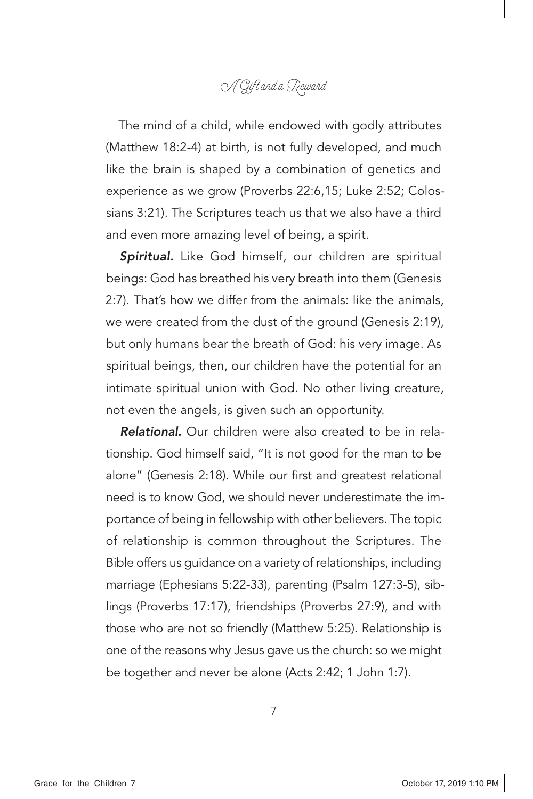The mind of a child, while endowed with godly attributes (Matthew 18:2-4) at birth, is not fully developed, and much like the brain is shaped by a combination of genetics and experience as we grow (Proverbs 22:6,15; Luke 2:52; Colossians 3:21). The Scriptures teach us that we also have a third and even more amazing level of being, a spirit.

*Spiritual.* Like God himself, our children are spiritual beings: God has breathed his very breath into them (Genesis 2:7). That's how we differ from the animals: like the animals, we were created from the dust of the ground (Genesis 2:19), but only humans bear the breath of God: his very image. As spiritual beings, then, our children have the potential for an intimate spiritual union with God. No other living creature, not even the angels, is given such an opportunity.

*Relational.* Our children were also created to be in relationship. God himself said, "It is not good for the man to be alone" (Genesis 2:18). While our first and greatest relational need is to know God, we should never underestimate the importance of being in fellowship with other believers. The topic of relationship is common throughout the Scriptures. The Bible offers us guidance on a variety of relationships, including marriage (Ephesians 5:22-33), parenting (Psalm 127:3-5), siblings (Proverbs 17:17), friendships (Proverbs 27:9), and with those who are not so friendly (Matthew 5:25). Relationship is one of the reasons why Jesus gave us the church: so we might be together and never be alone (Acts 2:42; 1 John 1:7).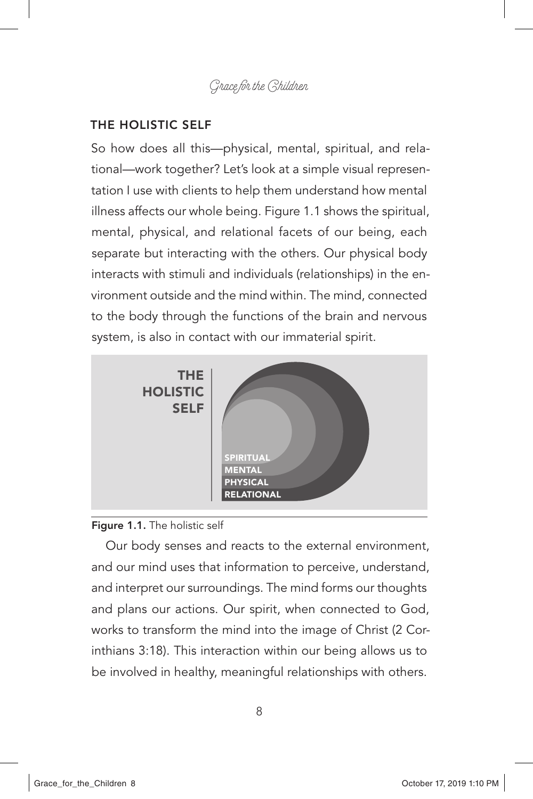#### THE HOLISTIC SELF

So how does all this—physical, mental, spiritual, and relational—work together? Let's look at a simple visual representation I use with clients to help them understand how mental illness affects our whole being. Figure 1.1 shows the spiritual, mental, physical, and relational facets of our being, each separate but interacting with the others. Our physical body interacts with stimuli and individuals (relationships) in the environment outside and the mind within. The mind, connected to the body through the functions of the brain and nervous system, is also in contact with our immaterial spirit.



#### Figure 1.1. The holistic self

Our body senses and reacts to the external environment, and our mind uses that information to perceive, understand, and interpret our surroundings. The mind forms our thoughts and plans our actions. Our spirit, when connected to God, works to transform the mind into the image of Christ (2 Corinthians 3:18). This interaction within our being allows us to be involved in healthy, meaningful relationships with others.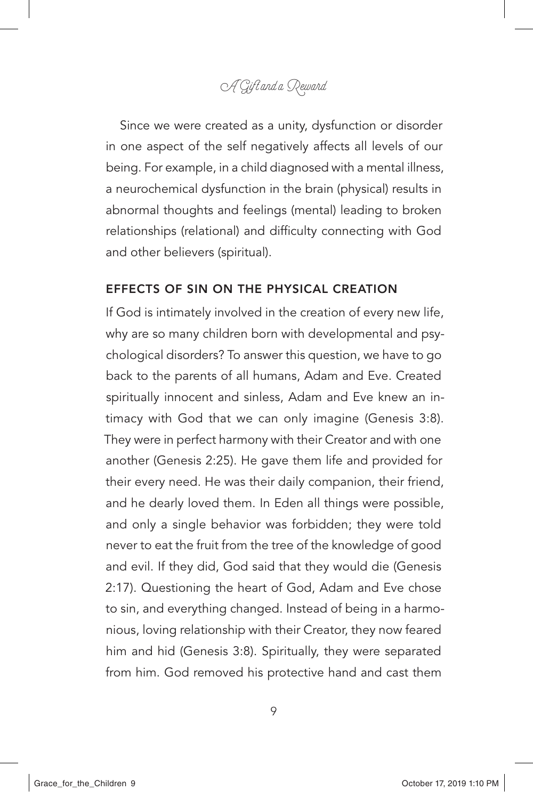Since we were created as a unity, dysfunction or disorder in one aspect of the self negatively affects all levels of our being. For example, in a child diagnosed with a mental illness, a neurochemical dysfunction in the brain (physical) results in abnormal thoughts and feelings (mental) leading to broken relationships (relational) and difficulty connecting with God and other believers (spiritual).

#### EFFECTS OF SIN ON THE PHYSICAL CREATION

If God is intimately involved in the creation of every new life, why are so many children born with developmental and psychological disorders? To answer this question, we have to go back to the parents of all humans, Adam and Eve. Created spiritually innocent and sinless, Adam and Eve knew an intimacy with God that we can only imagine (Genesis 3:8). They were in perfect harmony with their Creator and with one another (Genesis 2:25). He gave them life and provided for their every need. He was their daily companion, their friend, and he dearly loved them. In Eden all things were possible, and only a single behavior was forbidden; they were told never to eat the fruit from the tree of the knowledge of good and evil. If they did, God said that they would die (Genesis 2:17). Questioning the heart of God, Adam and Eve chose to sin, and everything changed. Instead of being in a harmonious, loving relationship with their Creator, they now feared him and hid (Genesis 3:8). Spiritually, they were separated from him. God removed his protective hand and cast them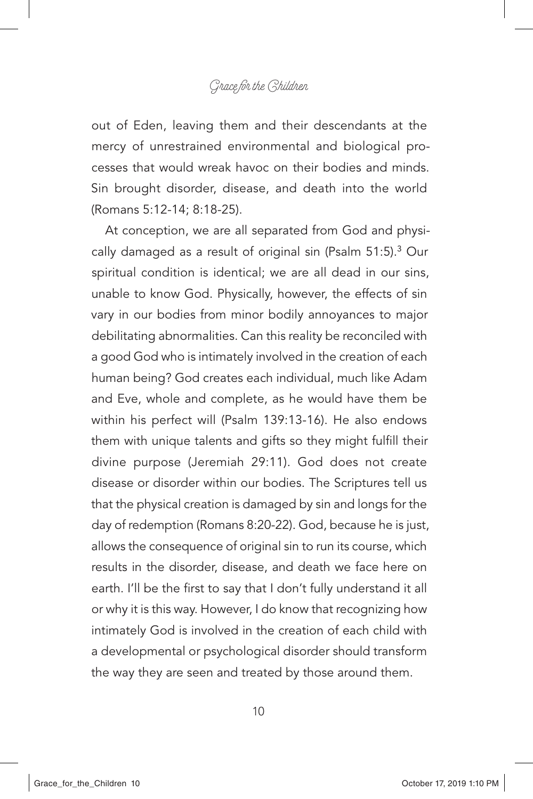out of Eden, leaving them and their descendants at the mercy of unrestrained environmental and biological processes that would wreak havoc on their bodies and minds. Sin brought disorder, disease, and death into the world (Romans 5:12-14; 8:18-25).

At conception, we are all separated from God and physically damaged as a result of original sin (Psalm 51:5).<sup>3</sup> Our spiritual condition is identical; we are all dead in our sins, unable to know God. Physically, however, the effects of sin vary in our bodies from minor bodily annoyances to major debilitating abnormalities. Can this reality be reconciled with a good God who is intimately involved in the creation of each human being? God creates each individual, much like Adam and Eve, whole and complete, as he would have them be within his perfect will (Psalm 139:13-16). He also endows them with unique talents and gifts so they might fulfill their divine purpose (Jeremiah 29:11). God does not create disease or disorder within our bodies. The Scriptures tell us that the physical creation is damaged by sin and longs for the day of redemption (Romans 8:20-22). God, because he is just, allows the consequence of original sin to run its course, which results in the disorder, disease, and death we face here on earth. I'll be the first to say that I don't fully understand it all or why it is this way. However, I do know that recognizing how intimately God is involved in the creation of each child with a developmental or psychological disorder should transform the way they are seen and treated by those around them.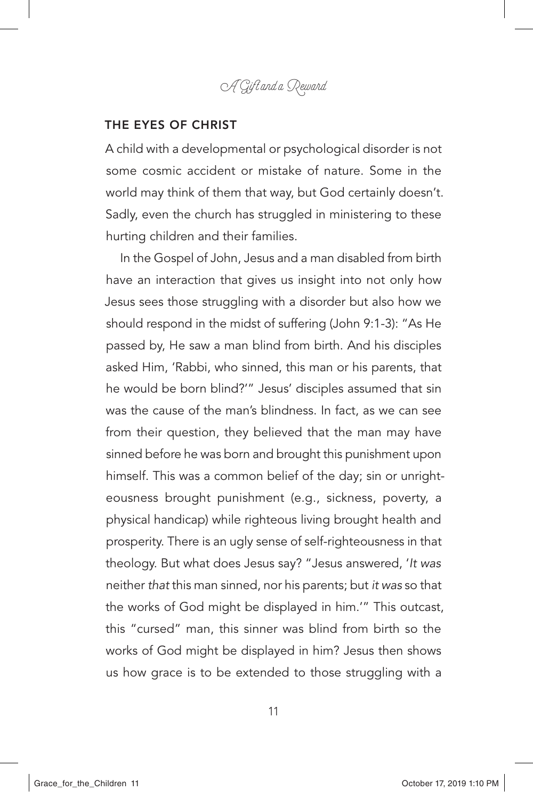A Gift and a Reward

#### THE EYES OF CHRIST

A child with a developmental or psychological disorder is not some cosmic accident or mistake of nature. Some in the world may think of them that way, but God certainly doesn't. Sadly, even the church has struggled in ministering to these hurting children and their families.

In the Gospel of John, Jesus and a man disabled from birth have an interaction that gives us insight into not only how Jesus sees those struggling with a disorder but also how we should respond in the midst of suffering (John 9:1-3): "As He passed by, He saw a man blind from birth. And his disciples asked Him, 'Rabbi, who sinned, this man or his parents, that he would be born blind?'" Jesus' disciples assumed that sin was the cause of the man's blindness. In fact, as we can see from their question, they believed that the man may have sinned before he was born and brought this punishment upon himself. This was a common belief of the day; sin or unrighteousness brought punishment (e.g., sickness, poverty, a physical handicap) while righteous living brought health and prosperity. There is an ugly sense of self-righteousness in that theology. But what does Jesus say? "Jesus answered, '*It was* neither *that* this man sinned, nor his parents; but *it was* so that the works of God might be displayed in him.'" This outcast, this "cursed" man, this sinner was blind from birth so the works of God might be displayed in him? Jesus then shows us how grace is to be extended to those struggling with a